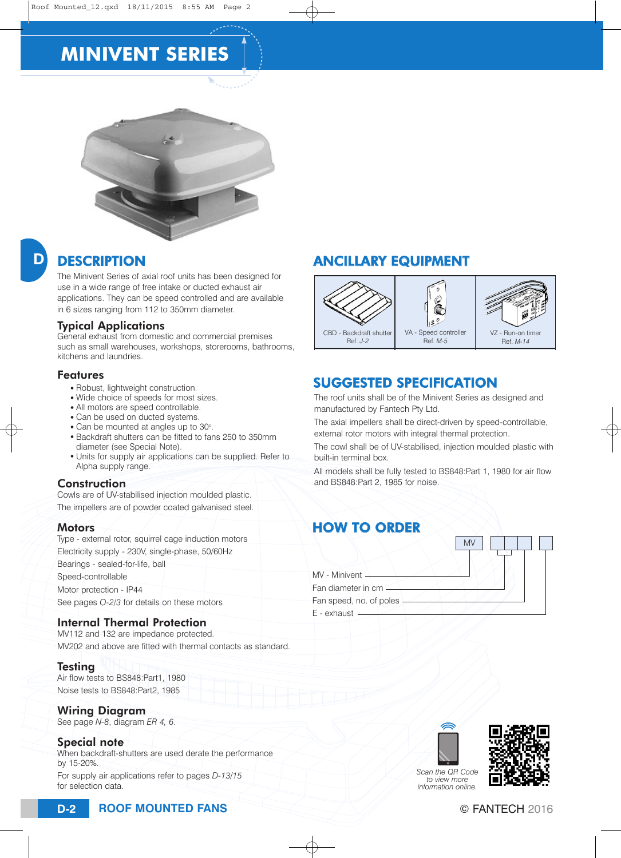# **MINIVENT SERIES**



## D

### **DESCRIPTION**

The Minivent Series of axial roof units has been designed for use in a wide range of free intake or ducted exhaust air applications. They can be speed controlled and are available in 6 sizes ranging from 112 to 350mm diameter.

#### Typical Applications

General exhaust from domestic and commercial premises such as small warehouses, workshops, storerooms, bathrooms, kitchens and laundries.

#### Features

- Robust, lightweight construction.
- Wide choice of speeds for most sizes.
- All motors are speed controllable.
- Can be used on ducted systems.
- Can be mounted at angles up to 30°. • Backdraft shutters can be fitted to fans 250 to 350mm diameter (see Special Note).
- Units for supply air applications can be supplied. Refer to Alpha supply range.

#### **Construction**

Cowls are of UV-stabilised injection moulded plastic. The impellers are of powder coated galvanised steel.

#### **Motors**

| Type - external rotor, squirrel cage induction motors |  |  |  |  |  |  |
|-------------------------------------------------------|--|--|--|--|--|--|
| Electricity supply - 230V, single-phase, 50/60Hz      |  |  |  |  |  |  |
| Bearings - sealed-for-life, ball                      |  |  |  |  |  |  |
| Speed-controllable                                    |  |  |  |  |  |  |
| Motor protection - IP44                               |  |  |  |  |  |  |
| See pages O-2/3 for details on these motors           |  |  |  |  |  |  |

#### Internal Thermal Protection

MV112 and 132 are impedance protected. MV202 and above are fitted with thermal contacts as standard.

**Testing** 

Air flow tests to BS848:Part1, 1980 Noise tests to BS848:Part2, 1985

#### Wiring Diagram

See page *N-8*, diagram *ER 4, 6*.

#### Special note

When backdraft-shutters are used derate the performance by 15-20%.

For supply air applications refer to pages *D-13/15* for selection data.

### ANCILLARY EQUIPMENT



### SUGGESTED SPECIFICATION

### HOW TO ORDER

| The roof units shall be of the Minivent Series as designed and<br>manufactured by Fantech Pty Ltd.                           |
|------------------------------------------------------------------------------------------------------------------------------|
| The axial impellers shall be direct-driven by speed-controllable,<br>external rotor motors with integral thermal protection. |
| The cowl shall be of UV-stabilised, injection moulded plastic with<br>built-in terminal box.                                 |
| All models shall be fully tested to BS848: Part 1, 1980 for air flow<br>and BS848: Part 2, 1985 for noise.                   |
| <b>HOW TO ORDER</b><br><b>MV</b><br>MV - Minivent -<br>Fan diameter in cm -<br>Fan speed, no. of poles<br>$E$ - exhaust $-$  |